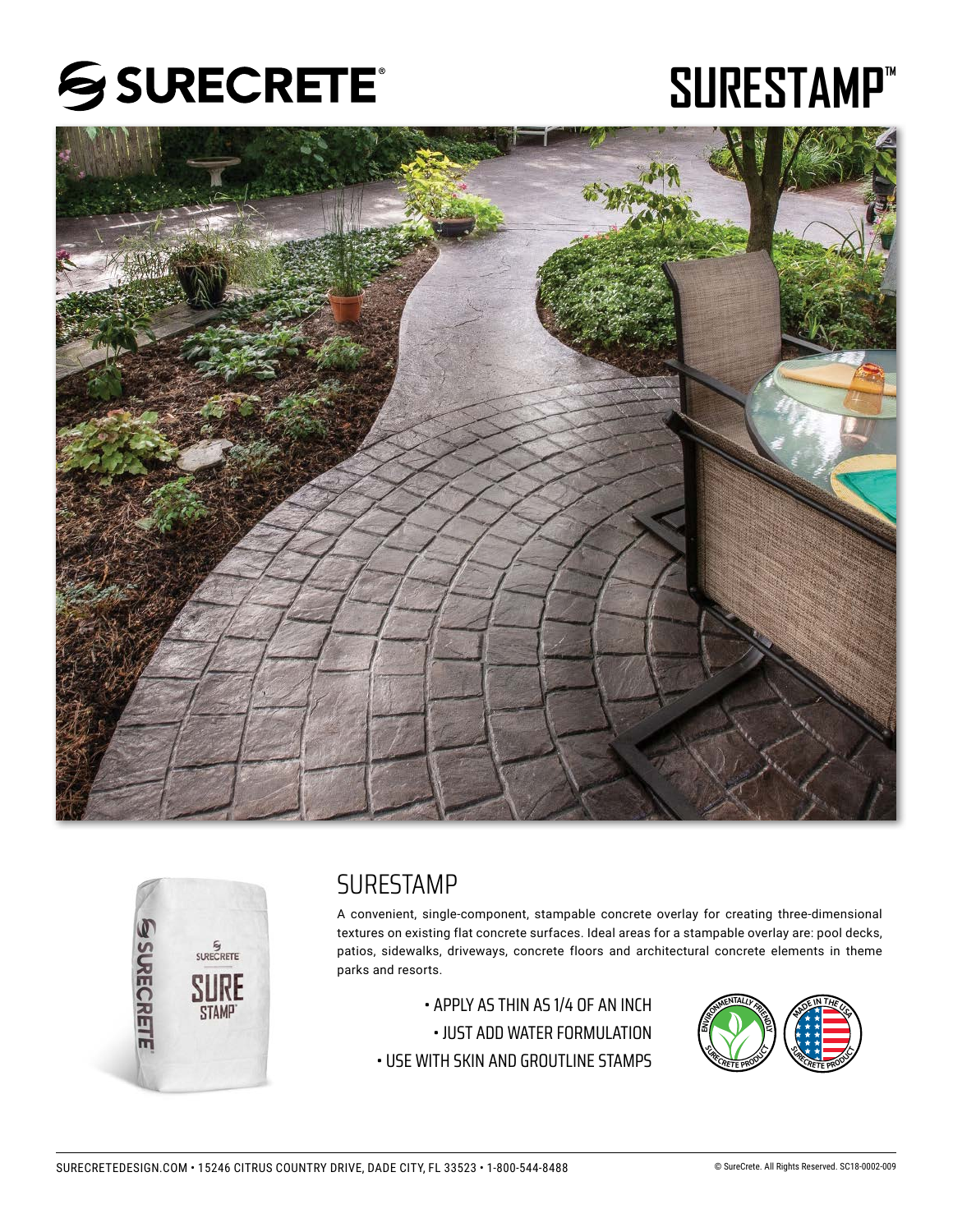

# **SURESTAMP™**





## SURESTAMP

A convenient, single-component, stampable concrete overlay for creating three-dimensional textures on existing flat concrete surfaces. Ideal areas for a stampable overlay are: pool decks, patios, sidewalks, driveways, concrete floors and architectural concrete elements in theme parks and resorts.

• APPLY AS THIN AS 1/4 OF AN INCH • JUST ADD WATER FORMULATION • USE WITH SKIN AND GROUTLINE STAMPS